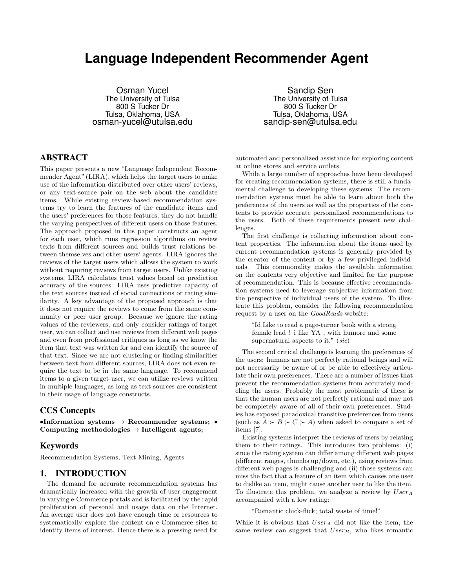# **Language Independent Recommender Agent**

Osman Yucel The University of Tulsa 800 S Tucker Dr Tulsa, Oklahoma, USA osman-yucel@utulsa.edu

Sandip Sen The University of Tulsa 800 S Tucker Dr Tulsa, Oklahoma, USA sandip-sen@utulsa.edu

# ABSTRACT

This paper presents a new "Language Independent Recommender Agent" (LIRA), which helps the target users to make use of the information distributed over other users' reviews, or any text-source pair on the web about the candidate items. While existing review-based recommendation systems try to learn the features of the candidate items and the users' preferences for those features, they do not handle the varying perspectives of different users on those features. The approach proposed in this paper constructs an agent for each user, which runs regression algorithms on review texts from different sources and builds trust relations between themselves and other users' agents. LIRA ignores the reviews of the target users which allows the system to work without requiring reviews from target users. Unlike existing systems, LIRA calculates trust values based on prediction accuracy of the sources: LIRA uses predictive capacity of the text sources instead of social connections or rating similarity. A key advantage of the proposed approach is that it does not require the reviews to come from the same community or peer user group. Because we ignore the rating values of the reviewers, and only consider ratings of target user, we can collect and use reviews from different web pages and even from professional critiques as long as we know the item that text was written for and can identify the source of that text. Since we are not clustering or finding similarities between text from different sources, LIRA does not even require the text to be in the same language. To recommend items to a given target user, we can utilize reviews written in multiple languages, as long as text sources are consistent in their usage of language constructs.

# CCS Concepts

•Information systems  $\rightarrow$  Recommender systems; • Computing methodologies  $\rightarrow$  Intelligent agents;

# Keywords

Recommendation Systems, Text Mining, Agents

# 1. INTRODUCTION

The demand for accurate recommendation systems has dramatically increased with the growth of user engagement in varying e-Commerce portals and is facilitated by the rapid proliferation of personal and usage data on the Internet. An average user does not have enough time or resources to systematically explore the content on e-Commerce sites to identify items of interest. Hence there is a pressing need for

automated and personalized assistance for exploring content at online stores and service outlets.

While a large number of approaches have been developed for creating recommendation systems, there is still a fundamental challenge to developing these systems. The recommendation systems must be able to learn about both the preferences of the users as well as the properties of the contents to provide accurate personalized recommendations to the users. Both of these requirements present new challenges.

The first challenge is collecting information about content properties. The information about the items used by current recommendation systems is generally provided by the creator of the content or by a few privileged individuals. This commonality makes the available information on the contents very objective and limited for the purpose of recommendation. This is because effective recommendation systems need to leverage subjective information from the perspective of individual users of the system. To illustrate this problem, consider the following recommendation request by a user on the GoodReads website:

"Id Like to read a page-turner book with a strong female lead ! i like YA , with humore and some supernatural aspects to it." (sic)

The second critical challenge is learning the preferences of the users: humans are not perfectly rational beings and will not necessarily be aware of or be able to effectively articulate their own preferences. There are a number of issues that prevent the recommendation systems from accurately modeling the users. Probably the most problematic of these is that the human users are not perfectly rational and may not be completely aware of all of their own preferences. Studies has exposed paradoxical transitive preferences from users (such as  $A \succ B \succ C \succ A$ ) when asked to compare a set of items [7].

Existing systems interpret the reviews of users by relating them to their ratings. This introduces two problems: (i) since the rating system can differ among different web pages (different ranges, thumbs up/down, etc.), using reviews from different web pages is challenging and (ii) those systems can miss the fact that a feature of an item which causes one user to dislike an item, might cause another user to like the item. To illustrate this problem, we analyze a review by  $User_A$ accompanied with a low rating:

"Romantic chick-flick; total waste of time!"

While it is obvious that  $User_A$  did not like the item, the same review can suggest that  $User_B$ , who likes romantic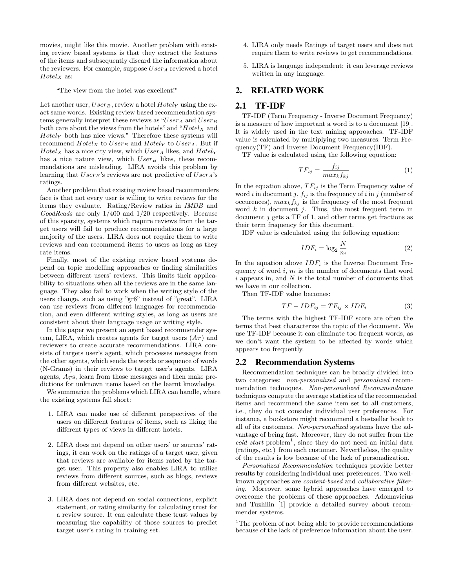movies, might like this movie. Another problem with existing review based systems is that they extract the features of the items and subsequently discard the information about the reviewers. For example, suppose  $User_A$  reviewed a hotel  $Hotel_X$  as:

"The view from the hotel was excellent!"

Let another user,  $User_B$ , review a hotel  $Hotely$  using the exact same words. Existing review based recommendation systems generally interpret these reviews as  $^{\omega}User_{A}$  and  $User_{B}$ both care about the views from the hotels" and " $Hotel_X$  and  $Hotel<sub>Y</sub>$  both has nice views." Therefore these systems will recommend  $Hotel_X$  to  $User_B$  and  $Hotel_Y$  to  $User_A$ . But if  $Hotel_X$  has a nice city view, which  $User_A$  likes, and  $Hotel_Y$ has a nice nature view, which  $User_B$  likes, these recommendations are misleading. LIRA avoids this problem by learning that  $User_B$ 's reviews are not predictive of  $User_A$ 's ratings.

Another problem that existing review based recommenders face is that not every user is willing to write reviews for the items they evaluate. Rating/Review ratios in IMDB and GoodReads are only 1/400 and 1/20 respectively. Because of this sparsity, systems which require reviews from the target users will fail to produce recommendations for a large majority of the users. LIRA does not require them to write reviews and can recommend items to users as long as they rate items.

Finally, most of the existing review based systems depend on topic modelling approaches or finding similarities between different users' reviews. This limits their applicability to situations when all the reviews are in the same language. They also fail to work when the writing style of the users change, such as using "gr8" instead of "great". LIRA can use reviews from different languages for recommendation, and even different writing styles, as long as users are consistent about their language usage or writing style.

In this paper we present an agent based recommender system, LIRA, which creates agents for target users  $(A_T)$  and reviewers to create accurate recommendations. LIRA consists of targets user's agent, which processes messages from the other agents, which sends the words or sequence of words (N-Grams) in their reviews to target user's agents. LIRA agents,  $A_T$ s, learn from those messages and then make predictions for unknown items based on the learnt knowledge.

We summarize the problems which LIRA can handle, where the existing systems fall short:

- 1. LIRA can make use of different perspectives of the users on different features of items, such as liking the different types of views in different hotels.
- 2. LIRA does not depend on other users' or sources' ratings, it can work on the ratings of a target user, given that reviews are available for items rated by the target user. This property also enables LIRA to utilize reviews from different sources, such as blogs, reviews from different websites, etc.
- 3. LIRA does not depend on social connections, explicit statement, or rating similarity for calculating trust for a review source. It can calculate these trust values by measuring the capability of those sources to predict target user's rating in training set.
- 4. LIRA only needs Ratings of target users and does not require them to write reviews to get recommendations.
- 5. LIRA is language independent: it can leverage reviews written in any language.

# 2. RELATED WORK

## 2.1 TF-IDF

TF-IDF (Term Frequency - Inverse Document Frequency) is a measure of how important a word is to a document [19]. It is widely used in the text mining approaches. TF-IDF value is calculated by multiplying two measures: Term Frequency(TF) and Inverse Document Frequency(IDF).

TF value is calculated using the following equation:

$$
TF_{ij} = \frac{f_{ij}}{max_k f_{kj}}\tag{1}
$$

In the equation above,  $TF_{ij}$  is the Term Frequency value of word i in document j,  $f_{ij}$  is the frequency of i in j (number of occurences),  $max_k f_{kj}$  is the frequency of the most frequent word  $k$  in document  $j$ . Thus, the most frequent term in document  $j$  gets a TF of 1, and other terms get fractions as their term frequency for this document.

IDF value is calculated using the following equation:

$$
IDF_i = \log_2 \frac{N}{n_i} \tag{2}
$$

In the equation above  $IDF_i$  is the Inverse Document Frequency of word i,  $n_i$  is the number of documents that word  $i$  appears in, and  $N$  is the total number of documents that we have in our collection.

Then TF-IDF value becomes:

$$
TF - IDF_{ij} = TF_{ij} \times IDF_i \tag{3}
$$

The terms with the highest TF-IDF score are often the terms that best characterize the topic of the document. We use TF-IDF because it can eliminate too frequent words, as we don't want the system to be affected by words which appears too frequently.

#### 2.2 Recommendation Systems

Recommendation techniques can be broadly divided into two categories: non-personalized and personalized recommendation techniques. Non-personalized Recommendation techniques compute the average statistics of the recommended items and recommend the same item set to all customers, i.e., they do not consider individual user preferences. For instance, a bookstore might recommend a bestseller book to all of its customers. Non-personalized systems have the advantage of being fast. Moreover, they do not suffer from the  $cold~start~problem<sup>1</sup>$ , since they do not need an initial data (ratings, etc.) from each customer. Nevertheless, the quality of the results is low because of the lack of personalization.

Personalized Recommendation techniques provide better results by considering individual user preferences. Two wellknown approaches are content-based and collaborative filtering. Moreover, some hybrid approaches have emerged to overcome the problems of these approaches. Adomavicius and Tuzhilin [1] provide a detailed survey about recommender systems.

<sup>&</sup>lt;sup>1</sup>The problem of not being able to provide recommendations because of the lack of preference information about the user.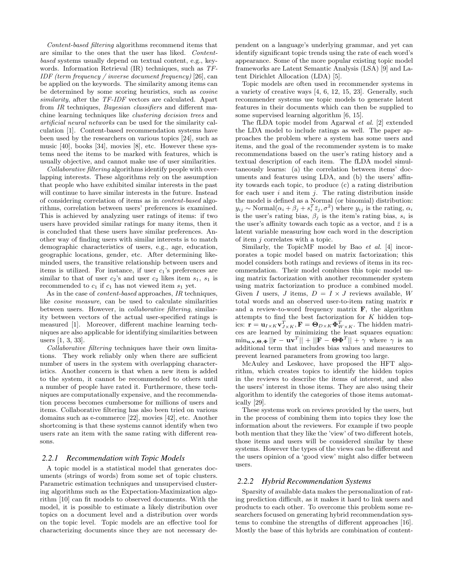Content-based filtering algorithms recommend items that are similar to the ones that the user has liked. Contentbased systems usually depend on textual content, e.g., keywords. Information Retrieval (IR) techniques, such as TF-IDF (term frequency / inverse document frequency) [26], can be applied on the keywords. The similarity among items can be determined by some scoring heuristics, such as cosine similarity, after the TF-IDF vectors are calculated. Apart from IR techniques, Bayesian classifiers and different machine learning techniques like clustering decision trees and artificial neural networks can be used for the similarity calculation [1]. Content-based recommendation systems have been used by the researchers on various topics [24], such as music [40], books [34], movies [8], etc. However these systems need the items to be marked with features, which is usually objective, and cannot make use of user similarities.

Collaborative filtering algorithms identify people with overlapping interests. These algorithms rely on the assumption that people who have exhibited similar interests in the past will continue to have similar interests in the future. Instead of considering correlation of items as in content-based algorithms, correlation between users' preferences is examined. This is achieved by analyzing user ratings of items: if two users have provided similar ratings for many items, then it is concluded that these users have similar preferences. Another way of finding users with similar interests is to match demographic characteristics of users, e.g., age, education, geographic locations, gender, etc. After determining likeminded users, the transitive relationship between users and items is utilized. For instance, if user  $c_1$ 's preferences are similar to that of user  $c_2$ 's and user  $c_2$  likes item  $s_1$ ,  $s_1$  is recommended to  $c_1$  if  $c_1$  has not viewed item  $s_1$  yet.

As in the case of *content-based* approaches, *IR* techniques, like cosine measure, can be used to calculate similarities between users. However, in collaborative filtering, similarity between vectors of the actual user-specified ratings is measured [1]. Moreover, different machine learning techniques are also applicable for identifying similarities between users [1, 3, 33].

Collaborative filtering techniques have their own limitations. They work reliably only when there are sufficient number of users in the system with overlapping characteristics. Another concern is that when a new item is added to the system, it cannot be recommended to others until a number of people have rated it. Furthermore, these techniques are computationally expensive, and the recommendation process becomes cumbersome for millions of users and items. Collaborative filtering has also been tried on various domains such as e-commerce [22], movies [42], etc. Another shortcoming is that these systems cannot identify when two users rate an item with the same rating with different reasons.

#### *2.2.1 Recommendation with Topic Models*

A topic model is a statistical model that generates documents (strings of words) from some set of topic clusters. Parametric estimation techniques and unsupervised clustering algorithms such as the Expectation-Maximization algorithm [10] can fit models to observed documents. With the model, it is possible to estimate a likely distribution over topics on a document level and a distribution over words on the topic level. Topic models are an effective tool for characterizing documents since they are not necessary dependent on a language's underlying grammar, and yet can identify significant topic trends using the rate of each word's appearance. Some of the more popular existing topic model frameworks are Latent Semantic Analysis (LSA) [9] and Latent Dirichlet Allocation (LDA) [5].

Topic models are often used in recommender systems in a variety of creative ways [4, 6, 12, 15, 23]. Generally, such recommender systems use topic models to generate latent features in their documents which can then be supplied to some supervised learning algorithm [6, 15].

The fLDA topic model from Agarwal et al. [2] extended the LDA model to include ratings as well. The paper approaches the problem where a system has some users and items, and the goal of the recommender system is to make recommendations based on the user's rating history and a textual description of each item. The fLDA model simultaneously learns: (a) the correlation between items' documents and features using LDA, and (b) the users' affinity towards each topic, to produce (c) a rating distribution for each user  $i$  and item  $j$ . The rating distribution inside the model is defined as a Normal (or binomial) distribution:  $y_{ij} \sim \text{Normal}(\alpha_i + \beta_j + s_i^T \bar{z}_j, \sigma^2)$  where  $y_{ij}$  is the rating,  $\alpha_i$ is the user's rating bias,  $\beta_j$  is the item's rating bias,  $s_i$  is the user's affinity towards each topic as a vector, and  $\bar{z}$  is a latent variable measuring how each word in the description of item j correlates with a topic.

Similarly, the TopicMF model by Bao et al. [4] incorporates a topic model based on matrix factorization; this model considers both ratings and reviews of items in its recommendation. Their model combines this topic model using matrix factorization with another recommender system using matrix factorization to produce a combined model. Given I users, J items,  $D = I \times J$  reviews available, W total words and an observed user-to-item rating matrix r and a review-to-word frequency matrix  $\bf{F}$ , the algorithm attempts to find the best factorization for K hidden topics:  $\mathbf{r} = \mathbf{u}_{I \times K} \mathbf{v}_{J \times K}^T, \mathbf{F} = \mathbf{\Theta}_{D \times K} \mathbf{\Phi}_{W \times K}^T$ . The hidden matrices are learned by minimizing the least squares equation:  $\min_{\mathbf{u},\mathbf{v},\mathbf{\Theta},\mathbf{\Phi}}||\mathbf{r}-\mathbf{u}\mathbf{v}^T||+||\mathbf{F}-\mathbf{\Theta}\mathbf{\Phi}^T||+\gamma$  where  $\gamma$  is an additional term that includes bias values and measures to prevent learned parameters from growing too large.

McAuley and Leskovec, have proposed the HFT algorithm, which creates topics to identify the hidden topics in the reviews to describe the items of interest, and also the users' interest in those items. They are also using their algorithm to identify the categories of those items automatically [29].

These systems work on reviews provided by the users, but in the process of combining them into topics they lose the information about the reviewers. For example if two people both mention that they like the 'view' of two different hotels, those items and users will be considered similar by these systems. However the types of the views can be different and the users opinion of a 'good view' might also differ between users.

#### *2.2.2 Hybrid Recommendation Systems*

Sparsity of available data makes the personalization of rating prediction difficult, as it makes it hard to link users and products to each other. To overcome this problem some researchers focused on generating hybrid recommendation systems to combine the strengths of different approaches [16]. Mostly the base of this hybrids are combination of content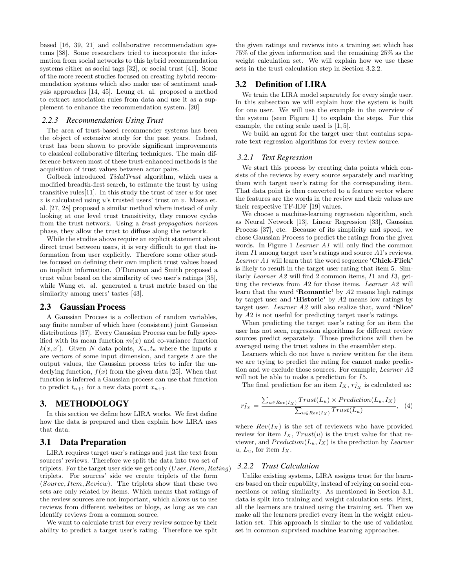based [16, 39, 21] and collaborative recommendation systems [38]. Some researchers tried to incorporate the information from social networks to this hybrid recommendation systems either as social tags [32], or social trust [41]. Some of the more recent studies focused on creating hybrid recommendation systems which also make use of sentiment analysis approaches [14, 45]. Leung et. al. proposed a method to extract association rules from data and use it as a supplement to enhance the recommendation system. [20]

#### *2.2.3 Recommendation Using Trust*

The area of trust-based recommender systems has been the object of extensive study for the past years. Indeed, trust has been shown to provide significant improvements to classical collaborative filtering techniques. The main difference between most of these trust-enhanced methods is the acquisition of trust values between actor pairs.

Golbeck introduced TidalTrust algorithm, which uses a modified breadth-first search, to estimate the trust by using transitive rules [11]. In this study the trust of user  $u$  for user  $v$  is calculated using  $u$ 's trusted users' trust on  $v$ . Massa et. al. [27, 28] proposed a similar method where instead of only looking at one level trust transitivity, they remove cycles from the trust network. Using a trust propagation horizon phase, they allow the trust to diffuse along the network.

While the studies above require an explicit statement about direct trust between users, it is very difficult to get that information from user explicitly. Therefore some other studies focused on defining their own implicit trust values based on implicit information. O'Donovan and Smith proposed a trust value based on the similarity of two user's ratings [35], while Wang et. al. generated a trust metric based on the similarity among users' tastes [43].

#### 2.3 Gaussian Process

A Gaussian Process is a collection of random variables, any finite number of which have (consistent) joint Gaussian distributions [37]. Every Gaussian Process can be fully specified with its mean function  $m(x)$  and co-variance function  $k(x, x')$ . Given N data points,  $X_n, t_n$  where the inputs x are vectors of some input dimension, and targets  $t$  are the output values, the Gaussian process tries to infer the underlying function,  $f(x)$  from the given data [25]. When that function is inferred a Gaussian process can use that function to predict  $t_{n+1}$  for a new data point  $x_{n+1}$ .

#### 3. METHODOLOGY

In this section we define how LIRA works. We first define how the data is prepared and then explain how LIRA uses that data.

#### 3.1 Data Preparation

LIRA requires target user's ratings and just the text from sources' reviews. Therefore we split the data into two set of triplets. For the target user side we get only  $(User, Item, Rating)$ triplets. For sources' side we create triplets of the form (Source, Item, Review). The triplets show that these two sets are only related by items. Which means that ratings of the review sources are not important, which allows us to use reviews from different websites or blogs, as long as we can identify reviews from a common source.

We want to calculate trust for every review source by their ability to predict a target user's rating. Therefore we split the given ratings and reviews into a training set which has 75% of the given information and the remaining 25% as the weight calculation set. We will explain how we use these sets in the trust calculation step in Section 3.2.2.

# 3.2 Definition of LIRA

We train the LIRA model separately for every single user. In this subsection we will explain how the system is built for one user. We will use the example in the overview of the system (seen Figure 1) to explain the steps. For this example, the rating scale used is [1, 5].

We build an agent for the target user that contains separate text-regression algorithms for every review source.

#### *3.2.1 Text Regression*

We start this process by creating data points which consists of the reviews by every source separately and marking them with target user's rating for the corresponding item. That data point is then converted to a feature vector where the features are the words in the review and their values are their respective TF-IDF [19] values.

We choose a machine-learning regression algorithm, such as Neural Network [13], Linear Regression [33], Gaussian Process [37], etc. Because of its simplicity and speed, we chose Gaussian Process to predict the ratings from the given words. In Figure 1 Learner A1 will only find the common item I1 among target user's ratings and source A1's reviews. Learner A1 will learn that the word sequence 'Chick-Flick' is likely to result in the target user rating that item 5. Similarly *Learner A2* will find 2 common items,  $I1$  and  $I3$ , getting the reviews from A2 for those items. Learner A2 will learn that the word 'Romantic' by A2 means high ratings by target user and 'Historic' by A2 means low ratings by target user. Learner A2 will also realize that, word 'Nice' by A2 is not useful for predicting target user's ratings.

When predicting the target user's rating for an item the user has not seen, regression algorithms for different review sources predict separately. Those predictions will then be averaged using the trust values in the ensembler step.

Learners which do not have a review written for the item we are trying to predict the rating for cannot make prediction and we exclude those sources. For example, Learner A2 will not be able to make a prediction for I5.

The final prediction for an item  $I_X$ ,  $r_{I_X}$  is calculated as:

$$
r_{I_X}^{\hat{}} = \frac{\sum_{u \in Rev(I_X)} Trust(L_u) \times Prediction(L_u, I_X)}{\sum_{u \in Rev(I_X)} Trust(L_u)}, \quad (4)
$$

where  $Rev(I_X)$  is the set of reviewers who have provided review for item  $I_X$ ,  $Trust(u)$  is the trust value for that reviewer, and  $Prediction(L_u, I_X)$  is the prediction by Learner  $u, L_u$ , for item  $I_X$ .

#### *3.2.2 Trust Calculation*

Unlike existing systems, LIRA assigns trust for the learners based on their capability, instead of relying on social connections or rating similarity. As mentioned in Section 3.1, data is split into training and weight calculation sets. First, all the learners are trained using the training set. Then we make all the learners predict every item in the weight calculation set. This approach is similar to the use of validation set in common suprvised machine learning approaches.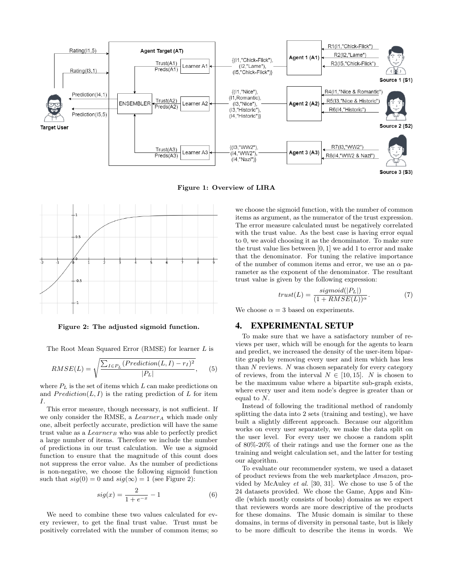

Figure 1: Overview of LIRA



Figure 2: The adjusted sigmoid function.

The Root Mean Squared Error (RMSE) for learner L is

$$
RMSE(L) = \sqrt{\frac{\sum_{I \in P_L} (Prediction(L, I) - r_I)^2}{|P_L|}}, \quad (5)
$$

where  $P_L$  is the set of items which L can make predictions on and  $Prediction(L, I)$  is the rating prediction of L for item I.

This error measure, though necessary, is not sufficient. If we only consider the RMSE, a  $Learner_A$  which made only one, albeit perfectly accurate, prediction will have the same trust value as a  $Learning$  who was able to perfectly predict a large number of items. Therefore we include the number of predictions in our trust calculation. We use a sigmoid function to ensure that the magnitude of this count does not suppress the error value. As the number of predictions is non-negative, we choose the following sigmoid function such that  $sig(0) = 0$  and  $sig(\infty) = 1$  (see Figure 2):

$$
sig(x) = \frac{2}{1 + e^{-x}} - 1\tag{6}
$$

We need to combine these two values calculated for every reviewer, to get the final trust value. Trust must be positively correlated with the number of common items; so we choose the sigmoid function, with the number of common items as argument, as the numerator of the trust expression. The error measure calculated must be negatively correlated with the trust value. As the best case is having error equal to 0, we avoid choosing it as the denominator. To make sure the trust value lies between [0, 1] we add 1 to error and make that the denominator. For tuning the relative importance of the number of common items and error, we use an  $\alpha$  parameter as the exponent of the denominator. The resultant trust value is given by the following expression:

$$
trust(L) = \frac{sigmoid(|P_L|)}{(1 + RMSE(L))^{\alpha}}.\tag{7}
$$

We choose  $\alpha = 3$  based on experiments.

#### 4. EXPERIMENTAL SETUP

To make sure that we have a satisfactory number of reviews per user, which will be enough for the agents to learn and predict, we increased the density of the user-item bipartite graph by removing every user and item which has less than  $N$  reviews.  $N$  was chosen separately for every category of reviews, from the interval  $N \in [10, 15]$ . N is chosen to be the maximum value where a bipartite sub-graph exists, where every user and item node's degree is greater than or equal to  $N$ .

Instead of following the traditional method of randomly splitting the data into 2 sets (training and testing), we have built a slightly different approach. Because our algorithm works on every user separately, we make the data split on the user level. For every user we choose a random split of 80%-20% of their ratings and use the former one as the training and weight calculation set, and the latter for testing our algorithm.

To evaluate our recommender system, we used a dataset of product reviews from the web marketplace Amazon, provided by McAuley et al. [30, 31]. We chose to use 5 of the 24 datasets provided. We chose the Game, Apps and Kindle (which mostly consists of books) domains as we expect that reviewers words are more descriptive of the products for these domains. The Music domain is similar to these domains, in terms of diversity in personal taste, but is likely to be more difficult to describe the items in words. We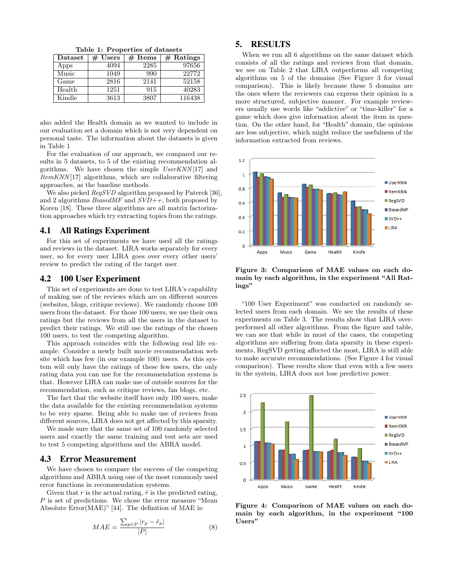Table 1: Properties of datasets

| Dataset | $#$ Users | $#$ Items | $#$ Ratings |
|---------|-----------|-----------|-------------|
| Apps    | 4094      | 2285      | 97656       |
| Music   | 1049      | 990       | 22772       |
| Game    | 2816      | 2141      | 52158       |
| Health  | 1251      | 915       | 40283       |
| Kindle  | 3613      | 3807      | 116438      |

also added the Health domain as we wanted to include in our evaluation set a domain which is not very dependent on personal taste. The information about the datasets is given in Table 1

For the evaluation of our approach, we compared our results in 5 datasets, to 5 of the existing recommendation algorithms. We have chosen the simple UserKNN [17] and  $ItemKNN[17]$  algorithms, which are collaborative filtering approaches, as the baseline methods.

We also picked RegSVD algorithm proposed by Paterek [36], and 2 algorithms  $BiasedMF$  and  $SVD++$ , both proposed by Koren [18]. These three algorithms are all matrix factorization approaches which try extracting topics from the ratings.

#### 4.1 All Ratings Experiment

For this set of experiments we have used all the ratings and reviews in the dataset. LIRA works separately for every user, so for every user LIRA goes over every other users' review to predict the rating of the target user.

## 4.2 100 User Experiment

This set of experiments are done to test LIRA's capability of making use of the reviews which are on different sources (websites, blogs, critique reviews). We randomly choose 100 users from the dataset. For those 100 users, we use their own ratings but the reviews from all the users in the dataset to predict their ratings. We still use the ratings of the chosen 100 users, to test the competing algorithm.

This approach coincides with the following real life example: Consider a newly built movie recommendation web site which has few (in our example 100) users. As this system will only have the ratings of these few users, the only rating data you can use for the recommendation systems is that. However LIRA can make use of outside sources for the recommendation, such as critique reviews, fan blogs, etc.

The fact that the website itself have only 100 users, make the data available for the existing recommendation systems to be very sparse. Being able to make use of reviews from different sources, LIRA does not get affected by this sparsity.

We made sure that the same set of 100 randomly selected users and exactly the same training and test sets are used to test 5 competing algorithms and the ABRA model.

## 4.3 Error Measurement

We have chosen to compare the success of the competing algorithms and ABRA using one of the most commonly used error functions in recommendation systems.

Given that  $r$  is the actual rating,  $\hat{r}$  is the predicted rating,  ${\cal P}$  is set of predictions. We chose the error measure "Mean Absolute Error(MAE)" [44]. The definition of MAE is:

$$
MAE = \frac{\sum_{p \in P} |r_p - \hat{r}_p|}{|P|} \tag{8}
$$

## 5. RESULTS

When we run all 6 algorithms on the same dataset which consists of all the ratings and reviews from that domain, we see on Table 2 that LIRA outperforms all competing algorithms on 5 of the domains (See Figure 3 for visual comparison). This is likely because these 5 domains are the ones where the reviewers can express their opinion in a more structured, subjective manner. For example reviewers usually use words like "addictive" or "time-killer" for a game which does give information about the item in question. On the other hand, for "Health" domain, the opinions are less subjective, which might reduce the usefulness of the information extracted from reviews.



Figure 3: Comparison of MAE values on each domain by each algorithm, in the experiment "All Ratings"

"100 User Experiment" was conducted on randomly selected users from each domain. We see the results of these experiments on Table 3. The results show that LIRA overperformed all other algorithms. From the figure and table, we can see that while in most of the cases, the competing algorithms are suffering from data sparsity in these experiments, RegSVD getting affected the most, LIRA is still able to make accurate recommendations. (See Figure 4 for visual comparison). These results show that even with a few users in the system, LIRA does not lose predictive power.



Figure 4: Comparison of MAE values on each domain by each algorithm, in the experiment "100 Users"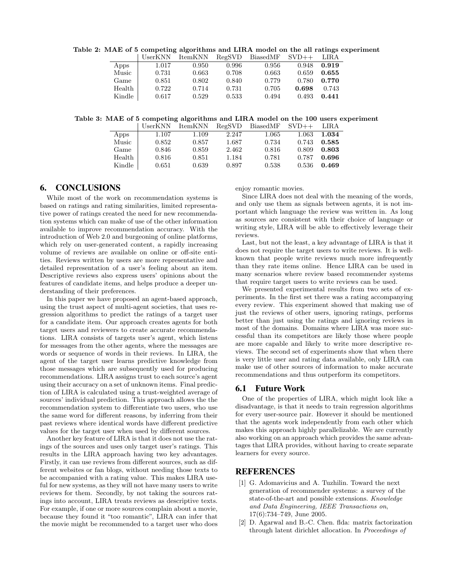Table 2: MAE of 5 competing algorithms and LIRA model on the all ratings experiment

|        | UserKNN | ItemKNN | RegSVD | BiasedMF | $SVD++$ | LIRA  |
|--------|---------|---------|--------|----------|---------|-------|
| Apps   | 1.017   | 0.950   | 0.996  | 0.956    | 0.948   | 0.919 |
| Music  | 0.731   | 0.663   | 0.708  | 0.663    | 0.659   | 0.655 |
| Game   | 0.851   | 0.802   | 0.840  | 0.779    | 0.780   | 0.770 |
| Health | 0.722   | 0.714   | 0.731  | 0.705    | 0.698   | 0.743 |
| Kindle | 0.617   | 0.529   | 0.533  | 0.494    | 0.493   | 0.441 |

Table 3: MAE of 5 competing algorithms and LIRA model on the 100 users experiment

|        | UserKNN | <b>ItemKNN</b> | RegSVD | BiasedMF | $SVD++$ | LIRA  |
|--------|---------|----------------|--------|----------|---------|-------|
| Apps   | 1.107   | 1.109          | 2.247  | 1.065    | 1.063   | 1.034 |
| Music  | 0.852   | 0.857          | 1.687  | 0.734    | 0.743   | 0.585 |
| Game   | 0.846   | 0.859          | 2.462  | 0.816    | 0.809   | 0.803 |
| Health | 0.816   | 0.851          | 1.184  | 0.781    | 0.787   | 0.696 |
| Kindle | 0.651   | 0.639          | 0.897  | 0.538    | 0.536   | 0.469 |

# 6. CONCLUSIONS

While most of the work on recommendation systems is based on ratings and rating similarities, limited representative power of ratings created the need for new recommendation systems which can make of use of the other information available to improve recommendation accuracy. With the introduction of Web 2.0 and burgeoning of online platforms, which rely on user-generated content, a rapidly increasing volume of reviews are available on online or off-site entities. Reviews written by users are more representative and detailed representation of a user's feeling about an item. Descriptive reviews also express users' opinions about the features of candidate items, and helps produce a deeper understanding of their preferences.

In this paper we have proposed an agent-based approach, using the trust aspect of multi-agent societies, that uses regression algorithms to predict the ratings of a target user for a candidate item. Our approach creates agents for both target users and reviewers to create accurate recommendations. LIRA consists of targets user's agent, which listens for messages from the other agents, where the messages are words or sequence of words in their reviews. In LIRA, the agent of the target user learns predictive knowledge from those messages which are subsequently used for producing recommendations. LIRA assigns trust to each source's agent using their accuracy on a set of unknown items. Final prediction of LIRA is calculated using a trust-weighted average of sources' individual prediction. This approach allows the the recommendation system to differentiate two users, who use the same word for different reasons, by inferring from their past reviews where identical words have different predictive values for the target user when used by different sources.

Another key feature of LIRA is that it does not use the ratings of the sources and uses only target user's ratings. This results in the LIRA approach having two key advantages. Firstly, it can use reviews from different sources, such as different websites or fan blogs, without needing those texts to be accompanied with a rating value. This makes LIRA useful for new systems, as they will not have many users to write reviews for them. Secondly, by not taking the sources ratings into account, LIRA treats reviews as descriptive texts. For example, if one or more sources complain about a movie, because they found it "too romantic", LIRA can infer that the movie might be recommended to a target user who does enjoy romantic movies.

Since LIRA does not deal with the meaning of the words, and only use them as signals between agents, it is not important which language the review was written in. As long as sources are consistent with their choice of language or writing style, LIRA will be able to effectively leverage their reviews.

Last, but not the least, a key advantage of LIRA is that it does not require the target users to write reviews. It is wellknown that people write reviews much more infrequently than they rate items online. Hence LIRA can be used in many scenarios where review based recommender systems that require target users to write reviews can be used.

We presented experimental results from two sets of experiments. In the first set there was a rating accompanying every review. This experiment showed that making use of just the reviews of other users, ignoring ratings, performs better than just using the ratings and ignoring reviews in most of the domains. Domains where LIRA was more successful than its competitors are likely those where people are more capable and likely to write more descriptive reviews. The second set of experiments show that when there is very little user and rating data available, only LIRA can make use of other sources of information to make accurate recommendations and thus outperform its competitors.

## 6.1 Future Work

One of the properties of LIRA, which might look like a disadvantage, is that it needs to train regression algorithms for every user-source pair. However it should be mentioned that the agents work independently from each other which makes this approach highly parallelizable. We are currently also working on an approach which provides the same advantages that LIRA provides, without having to create separate learners for every source.

# REFERENCES

- [1] G. Adomavicius and A. Tuzhilin. Toward the next generation of recommender systems: a survey of the state-of-the-art and possible extensions. Knowledge and Data Engineering, IEEE Transactions on, 17(6):734–749, June 2005.
- [2] D. Agarwal and B.-C. Chen. flda: matrix factorization through latent dirichlet allocation. In Proceedings of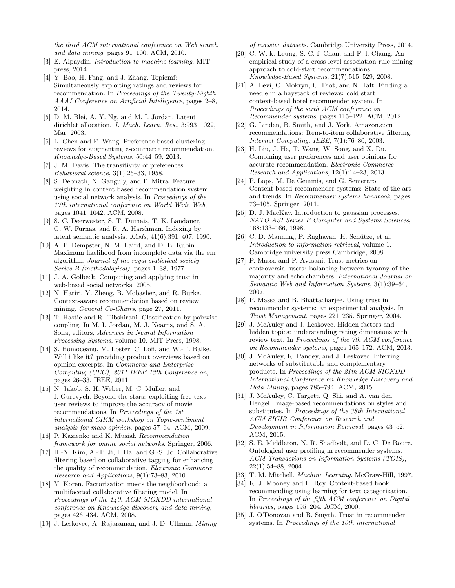the third ACM international conference on Web search and data mining, pages 91–100. ACM, 2010.

- [3] E. Alpaydin. Introduction to machine learning. MIT press, 2014.
- [4] Y. Bao, H. Fang, and J. Zhang. Topicmf: Simultaneously exploiting ratings and reviews for recommendation. In Proceedings of the Twenty-Eighth AAAI Conference on Artificial Intelligence, pages 2–8, 2014.
- [5] D. M. Blei, A. Y. Ng, and M. I. Jordan. Latent dirichlet allocation. J. Mach. Learn. Res., 3:993–1022, Mar. 2003.
- [6] L. Chen and F. Wang. Preference-based clustering reviews for augmenting e-commerce recommendation. Knowledge-Based Systems, 50:44–59, 2013.
- [7] J. M. Davis. The transitivity of preferences. Behavioral science, 3(1):26–33, 1958.
- [8] S. Debnath, N. Ganguly, and P. Mitra. Feature weighting in content based recommendation system using social network analysis. In Proceedings of the 17th international conference on World Wide Web, pages 1041–1042. ACM, 2008.
- [9] S. C. Deerwester, S. T. Dumais, T. K. Landauer, G. W. Furnas, and R. A. Harshman. Indexing by latent semantic analysis. JAsIs, 41(6):391–407, 1990.
- [10] A. P. Dempster, N. M. Laird, and D. B. Rubin. Maximum likelihood from incomplete data via the em algorithm. Journal of the royal statistical society. Series B (methodological), pages 1–38, 1977.
- [11] J. A. Golbeck. Computing and applying trust in web-based social networks. 2005.
- [12] N. Hariri, Y. Zheng, B. Mobasher, and R. Burke. Context-aware recommendation based on review mining. General Co-Chairs, page 27, 2011.
- [13] T. Hastie and R. Tibshirani. Classification by pairwise coupling. In M. I. Jordan, M. J. Kearns, and S. A. Solla, editors, Advances in Neural Information Processing Systems, volume 10. MIT Press, 1998.
- [14] S. Homoceanu, M. Loster, C. Lofi, and W.-T. Balke. Will i like it? providing product overviews based on opinion excerpts. In Commerce and Enterprise Computing (CEC), 2011 IEEE 13th Conference on, pages 26–33. IEEE, 2011.
- [15] N. Jakob, S. H. Weber, M. C. Müller, and I. Gurevych. Beyond the stars: exploiting free-text user reviews to improve the accuracy of movie recommendations. In Proceedings of the 1st international CIKM workshop on Topic-sentiment analysis for mass opinion, pages 57–64. ACM, 2009.
- [16] P. Kazienko and K. Musiał. Recommendation framework for online social networks. Springer, 2006.
- [17] H.-N. Kim, A.-T. Ji, I. Ha, and G.-S. Jo. Collaborative filtering based on collaborative tagging for enhancing the quality of recommendation. Electronic Commerce Research and Applications, 9(1):73–83, 2010.
- [18] Y. Koren. Factorization meets the neighborhood: a multifaceted collaborative filtering model. In Proceedings of the 14th ACM SIGKDD international conference on Knowledge discovery and data mining, pages 426–434. ACM, 2008.
- [19] J. Leskovec, A. Rajaraman, and J. D. Ullman. Mining

of massive datasets. Cambridge University Press, 2014.

- [20] C. W.-k. Leung, S. C.-f. Chan, and F.-l. Chung. An empirical study of a cross-level association rule mining approach to cold-start recommendations. Knowledge-Based Systems, 21(7):515–529, 2008.
- [21] A. Levi, O. Mokryn, C. Diot, and N. Taft. Finding a needle in a haystack of reviews: cold start context-based hotel recommender system. In Proceedings of the sixth ACM conference on Recommender systems, pages 115–122. ACM, 2012.
- [22] G. Linden, B. Smith, and J. York. Amazon.com recommendations: Item-to-item collaborative filtering. Internet Computing, IEEE, 7(1):76–80, 2003.
- [23] H. Liu, J. He, T. Wang, W. Song, and X. Du. Combining user preferences and user opinions for accurate recommendation. Electronic Commerce Research and Applications, 12(1):14–23, 2013.
- [24] P. Lops, M. De Gemmis, and G. Semeraro. Content-based recommender systems: State of the art and trends. In Recommender systems handbook, pages 73–105. Springer, 2011.
- [25] D. J. MacKay. Introduction to gaussian processes. NATO ASI Series F Computer and Systems Sciences, 168:133–166, 1998.
- [26] C. D. Manning, P. Raghavan, H. Schütze, et al. Introduction to information retrieval, volume 1. Cambridge university press Cambridge, 2008.
- [27] P. Massa and P. Avesani. Trust metrics on controversial users: balancing between tyranny of the majority and echo chambers. International Journal on Semantic Web and Information Systems, 3(1):39–64, 2007.
- [28] P. Massa and B. Bhattacharjee. Using trust in recommender systems: an experimental analysis. In Trust Management, pages 221–235. Springer, 2004.
- [29] J. McAuley and J. Leskovec. Hidden factors and hidden topics: understanding rating dimensions with review text. In Proceedings of the 7th ACM conference on Recommender systems, pages 165–172. ACM, 2013.
- [30] J. McAuley, R. Pandey, and J. Leskovec. Inferring networks of substitutable and complementary products. In Proceedings of the 21th ACM SIGKDD International Conference on Knowledge Discovery and Data Mining, pages 785–794. ACM, 2015.
- [31] J. McAuley, C. Targett, Q. Shi, and A. van den Hengel. Image-based recommendations on styles and substitutes. In Proceedings of the 38th International ACM SIGIR Conference on Research and Development in Information Retrieval, pages 43–52. ACM, 2015.
- [32] S. E. Middleton, N. R. Shadbolt, and D. C. De Roure. Ontological user profiling in recommender systems. ACM Transactions on Information Systems (TOIS), 22(1):54–88, 2004.
- [33] T. M. Mitchell. Machine Learning. McGraw-Hill, 1997.
- [34] R. J. Mooney and L. Roy. Content-based book recommending using learning for text categorization. In Proceedings of the fifth ACM conference on Digital libraries, pages 195–204. ACM, 2000.
- [35] J. O'Donovan and B. Smyth. Trust in recommender systems. In Proceedings of the 10th international